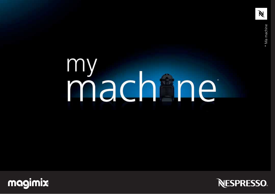Ń

# my<br>machine



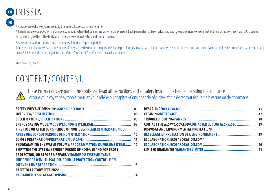

### **FR**

Nespresso, an exclusive system creating the perfect Espresso, time after time.

All machines are equipped with a unique extraction system that quarantees up to 19 Bar pressure. Each parameter has been calculated with great precision to ensure that all the aromas from each Grand Cru can be extracted, to give the coffee body and create an exceptionally thick and smooth crema.

Nespresso, un système exclusif pour reproduire à l'infini un Espresso parfait.

Toutes les machines Nespresso sont équipées d'un système d'extraction unique à très haute pression (jusqu'à 19 bar). Chaque paramètre est calculé avec précision pour révéler la totalité des arômes de chaque Grand Cru de café, lui donner du corps et générer une crème d'une densité et d'une onctuosité incomparables.

Magimix M105\_05.2013

# CONTENT/ CONTENU

These instructions are part of the appliance. Read all instructions and all safety instructions before operating the appliance. Lorsque vous voyez ce symbole, veuillez vous référer au chapitre «Consignes de sécurité» afin d'éviter tout risque de blessure ou de dommage.

|                                                                      | - 03 |
|----------------------------------------------------------------------|------|
|                                                                      | 08   |
|                                                                      | 08   |
|                                                                      | 09   |
| FIRST USE OR AFTER LONG PERIOD OF NON-USE/PREMIERE UTILISATION OU    |      |
|                                                                      |      |
|                                                                      |      |
| <b>PROGRAMMING THE WATER VOLUME/PROGRAMMATION DU VOLUME D'EAU 12</b> |      |
| <b>EMPTYING THE SYSTEM BEFORE A PERIOD OF NON-USE AND FOR FROST</b>  |      |
| <b>PROTECTION, OR BEFORE A REPAIR/VIDANGE DU SYSTEME AVANT</b>       |      |
| UNE PERIODE D'INUTILISATION, POUR LA PROTECTION CONTRE LE GEL        |      |
|                                                                      |      |
| <b>RESET TO FACTORY SETTINGS/</b>                                    |      |
|                                                                      |      |

| CONTACT THE NESPRESSO CLUB/CONTACTER LE CLUB NESPRESSO  19 |  |
|------------------------------------------------------------|--|
| DISPOSAL AND ENVIRONMENTAL PROTECTION/                     |  |
|                                                            |  |
| ECOLABORATION: ECOLABORATION.COM/                          |  |
|                                                            |  |
|                                                            |  |
|                                                            |  |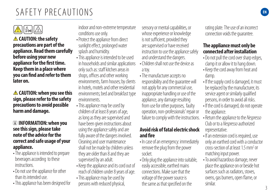# SAFETY PRECAUTIONS **EN**



 **CAUTION: the safety precautions are part of the appliance. Read them carefully before using your new appliance for the first time. Keep them in a place where you can find and refer to them later on.**

 **CAUTION: when you see this sign, please refer to the safety precautions to avoid possible harm and damage.**

### **INFORMATION: when you see this sign, please take note of the advice for the correct and safe usage of your appliance.**

- The appliance is intended to prepare beverages according to these **instructions**
- Do not use the appliance for other than its intended use.
- This appliance has been designed for

indoor and non-extreme temperature conditions use only.

- Protect the appliance from direct sunlight effect, prolonged water splash and humidity.
- This appliance is intended to be used in households and similar applications only such as: staff kitchen areas in shops, offices and other working environments, farm houses; by clients in hotels, motels and other residential environments; bed and breakfast type environments.
- This appliance may be used by children of at least 8 years of age, as long as they are supervised and have been given instructions about using the appliance safely and are fully aware of the dangers involved. Cleaning and user maintenance shall not be made by children unless they are older than 8 and they are supervised by an adult.
- Keep the appliance and its cord out of reach of children under 8 years of age.
- This appliance may be used by persons with reduced physical,

sensory or mental capabilities, or whose experience or knowledge is not sufficient, provided they are supervised or have received instruction to use the appliance safely and understand the dangers.

- Children shall not use the device as a toy.
- The manufacturer accepts no responsibility and the guarantee will not apply for any commercial use, inappropriate handling or use of the appliance, any damage resulting from use for other purposes, faulty operation, non-professionals' repair or failure to comply with the instructions.

### **Avoid risk of fatal electric shock and fire**

- In case of an emergency: immediately remove the plug from the power socket.
- Only plug the appliance into suitable, easily accessible, earthed mains connections. Make sure that the voltage of the power source is the same as that specified on the

rating plate. The use of an incorrect connection voids the guarantee.

### **The appliance must only be connected after installation**

- Do not pull the cord over sharp edges, clamp it or allow it to hang down.
- Keep the cord away from heat and damp.
- If the supply cord is damaged, it must be replaced by the manufacturer, its service agent or similarly qualified persons, in order to avoid all risks.
- If the cord is damaged, do not operate the appliance.
- Return the appliance to the Nespresso Club or to a Nespresso authorized representative.
- If an extension cord is required, use only an earthed cord with a conductor cross-section of at least 1.5 mm<sup>2</sup> or matching input power.
- To avoid hazardous damage, never place the appliance on or beside hot surfaces such as radiators, stoves, ovens, gas burners, open flame, or similar.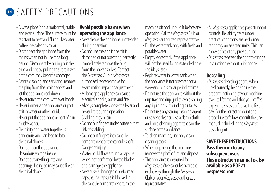- Always place it on a horizontal, stable and even surface. The surface must be resistant to heat and fluids, like water, coffee, descaler or similar.
- Disconnect the appliance from the mains when not in use for a long period. Disconnect by pulling out the plug and not by pulling the cord itself or the cord may become damaged.
- Before cleaning and servicing, remove the plug from the mains socket and let the appliance cool down.
- Never touch the cord with wet hands
- Never immerse the appliance or part of it in water or other liquid.
- Never put the appliance or part of it in a dishwasher.
- Electricity and water together is dangerous and can lead to fatal electrical shocks.
- Do not open the appliance. Hazardous voltage inside!
- Do not put anything into any openings. Doing so may cause fire or electrical shock!

### **Avoid possible harm when operating the appliance**

- Never leave the appliance unattended during operation.
- Do not use the appliance if it is damaged or not operating perfectly. Immediately remove the plug from the power socket. Contact the Nespresso Club or Nespresso authorized representative for examination, repair or adjustment.
- A damaged appliance can cause electrical shocks, burns and fire.
- Always completely close the lever and never lift it during operation. Scalding may occur.
- Do not put fingers under coffee outlet, risk of scalding.
- Do not put fingers into capsule compartment or the capsule shaft. Danger of injury!
- Water could flow around a capsule when not perforated by the blades and damage the appliance.
- Never use a damaged or deformed capsule. If a capsule is blocked in the capsule compartment, turn the

machine off and unplug it before any operation. Call the Nespresso Club or Nespresso authorized representative.

- Fill the water tank only with fresh and potable water.
- Empty water tank if the appliance will not be used for an extended time (holidays, etc.).
- Replace water in water tank when the appliance is not operated for a weekend or a similar period of time.
- Do not use the appliance without the drip tray and drip grid to avoid spilling any liquid on surrounding surfaces.
- Do not use any strong cleaning agent or solvent cleaner. Use a damp cloth and mild cleaning agent to clean the surface of the appliance.
- To clean machine, use only clean cleaning tools.
- When unpacking the machine, remove the plastic film and dispose.
- This appliance is designed for Nespresso coffee capsules available exclusively through the Nespresso Club or your Nespresso authorized representative.
- All Nespresso appliances pass stringent controls. Reliability tests under practical conditions are performed randomly on selected units. This can show traces of any previous use.
- Nespresso reserves the right to change instructions without prior notice.

### **Descaling**

• Nespresso descaling agent, when used correctly, helps ensure the proper functioning of your machine over its lifetime and that your coffee experience is as perfect as the first day. For the correct amount and procedure to follow, consult the user manual included in the Nespresso descaling kit.

**SAVE THESE INSTRUCTIONS Pass them on to any subsequent user. This instruction manual is also available as a PDF at nespresso.com**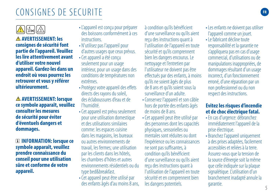# **CONSIGNES DE SECURITE FRAGGIER CONSIGNES FR**

 **AVERTISSEMENT: les consignes de sécurité font partie de l'appareil. Veuillez les lire attentivement avant d'utiliser votre nouvel appareil. Gardez-les dans un endroit où vous pourrez les retrouver et vous y référer ultérieurement.**

 **AVERTISSEMENT: lorsque ce symbole apparaît, veuillez consulter les mesures de sécurité pour éviter d'éventuels dangers et dommages.**

 **INFORMATION: lorsque ce symbole apparaît, veuillez prendre connaissance du conseil pour une utilisation sûre et conforme de votre appareil.**

- L'appareil est conçu pour préparer des boissons conformément à ces **instructions**
- N'utilisez pas l'appareil pour d'autres usages que ceux prévus.
- Cet appareil a été concuseulement pour un usage intérieur, pour un usage dans des conditions de températures non extrêmes.
- Protégez votre appareil des effets directs des rayons du soleil, des éclaboussures d'eau et de l'humidité.
- Cet appareil est prévu seulement pour une utilisation domestique et des utilisations similaires comme: les espaces cuisine dans les magasins, les bureaux ou autres environnements de travail, les fermes; une utilisation par les clients dans les hôtels, les chambres d'hôtes et autres environnements résidentiels ou du type bed&breakfast.
- Cet appareil peut être utilisé par des enfants âgés d'au moins 8 ans,

à condition qu'ils bénéficient d'une surveillance ou qu'ils aient reçu des instructions quant à l'utilisation de l'appareil en toute sécurité et qu'ils comprennent bien les dangers encourus. Le nettoyage et l'entretien par l'utilisateur ne doivent pas être effectués par des enfants, à moins qu'ils ne soient âgés de plus de 8 ans et qu'ils soient sous la surveillance d'un adulte.

- Conservez l'appareil et son câble hors de portée des enfants âgés de moins de 8 ans.
- Cet appareil peut être utilisé par des personnes dont les capacités physiques, sensorielles ou mentales sont réduites ou dont l'expérience ou les connaissances ne sont pas suffisantes, à condition qu'ils bénéficient d'une surveillance ou qu'ils aient reçu des instructions quant à l'utilisation de l'appareil en toute sécurité et en comprennent bien les dangers potentiels.
- Les enfants ne doivent pas utiliser l'appareil comme un jouet.
- Le fabricant décline toute responsabilité et la garantie ne s'appliquera pas en cas d'usage commercial, d'utilisations ou de manipulations inappropriées, de dommages résultant d'un usage incorrect, d'un fonctionnement erroné, d'une réparation par un non professionnel ou du non respect des instructions.

### **Evitez les risques d'incendie et de choc électrique fatal.**

- En cas d'urgence: débranchez immédiatement l'appareil de la prise électrique.
- Branchez l'appareil uniquement à des prises adaptées, facilement accessibles et reliées à la terre. Assurez-vous que la tension de la source d'énergie soit la même que celle indiquée sur la plaque signalétique. L'utilisation d'un branchement inadapté annule la garantie.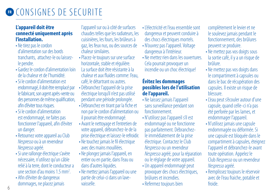### **L'appareil doit être connecté uniquement après l'installation.**

- Ne tirez pas le cordon d'alimentation sur des bords tranchants, attachez-le ou laissezle pendre.
- Gardez le cordon d'alimentation loin de la chaleur et de l'humidité.
- Si le cordon d'alimentation est endommagé, il doit être remplacé par le fabricant, son agent après-vente ou des personnes de même qualification, afin d'éviter tous risques.
- Si le cordon d'alimentation est endommagé, ne faites pas fonctionner l'appareil, afin d'éviter un danger.
- Retournez votre appareil au Club Nespresso ou à un revendeur Nespresso agréé.
- Si une rallonge électrique s'avère nécessaire, n'utilisez qu'un câble relié à la terre, dont le conducteur a une section d'au moins  $1.5 \text{ mm}^2$ . .
- Afin d'éviter de dangereux dommages, ne placez jamais

l'appareil sur ou à côté de surfaces chaudes telles que les radiateurs, les cuisinières, les fours, les brûleurs à gaz, les feux nus, ou des sources de chaleur similaires.

- Placez-le toujours sur une surface horizontale, stable et régulière. La surface doit être résistante à la chaleur et aux fluides comme: l'eau, café, le détartrant ou autres.
- Débranchez l'appareil de la prise électrique lorsqu'il n'est pas utilisé pendant une période prolongée.
- Débranchez en tirant par la fiche et non par le cordon d'alimentation ou il pourrait être endommagé.
- Avant le nettoyage et l'entretien de votre appareil, débranchez-le de la prise électrique et laissez-le refroidir.
- Ne touchez jamais le fil électrique avec des mains mouillées.
- Ne plongez jamais l'appareil, en entier ou en partie, dans l'eau ou dans d'autres liquides.
- Ne mettez jamais l'appareil ou une partie de celui-ci dans un lavevaisselle.
- l'électricité et l'eau ensemble sont dangereux et peuvent conduire à des chocs électriques mortels.
- N'ouvrez pas l'appareil. Voltage dangereux à l'intérieur.
- Ne mettez rien dans les ouvertures Cela pourrait provoquer un incendie ou un choc électrique!

### **Évitez les dommages possibles lors de l'utilisation de l'appareil.**

- Ne laissez jamais l'appareil sans surveillance pendant son fonctionnement.
- N'utilisez pas l'appareil s'il est endommagé ou ne fonctionne pas parfaitement. Débranchezle immédiatement de la prise électrique. Contactez le Club Nespresso ou un revendeur Nespresso agréé, pour la réparation ou le réglage de votre appareil.
- Un appareil endommagé peut provoquer des chocs électriques, brûlures et incendies.
- Refermez toujours bien

complètement le levier et ne le soulevez jamais pendant le fonctionnement, des brûlures peuvent se produire.

- Ne mettez pas vos doigts sous la sortie café, il y a un risque de brûlure.
- Ne mettez pas vos doigts dans le compartiment à capsules ou dans le bac de récupération des capsules. Il existe un risque de blessure.
- L'eau peut s'écouler autour d'une capsule, quand celle-ci n'a pas été perforée par les lames, et endommager l'appareil.
- N'utilisez jamais une capsule endommagée ou déformée. Si une capsule est bloquée dans le compartiment à capsules, éteignez l'appareil et débranchez-le avant toute opération. Appelez le Club Nespresso ou un revendeur Nespresso agréé.
- Remplissez toujours le réservoir avec de l'eau fraiche, potable et froide.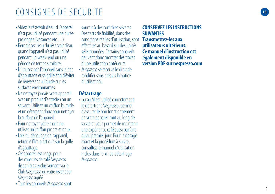# **FR**  $F_{\text{F}}$  **FR**  $F_{\text{F}}$  **FR**  $F_{\text{F}}$  **FR**  $F_{\text{F}}$  **FR**  $F_{\text{F}}$  **FR**  $F_{\text{F}}$

- Videz le réservoir d'eau si l'appareil n'est pas utilisé pendant une durée prolongée (vacances etc…).
- Remplacez l'eau du réservoir d'eau quand l'appareil n'est pas utilisé pendant un week-end ou une période de temps similaire.
- N'utilisez pas l'appareil sans le bac d'égouttage et sa grille afin d'éviter de renverser du liquide sur les surfaces environnantes.
- Ne nettoyez jamais votre appareil avec un produit d'entretien ou un solvant. Utilisez un chiffon humide et un détergent doux pournettoyer la surface de l'appareil.
- Pour nettoyer votre machine, utiliser un chiffon propre et doux.
- Lors du déballage de l'appareil, retirer le film plastique sur la grille d'égouttage.
- Cet appareil est conçu pour des capsules de café Nespresso disponibles exclusivement via le Club Nespresso ou votre revendeur Nespresso agréé.

• Tous les appareils Nespresso sont

soumis à des contrôles sévères. Des tests de fiabilité, dans des conditions réelles d'utilisation, sont **Transmettez-les aux**  effectués au hasard sur des unités sélectionnées. Certains appareils peuvent donc montrer des traces d'une utilisation antérieure.

• Nespresso se réserve le droit de modifier sans préavis la notice d'utilisation.

### **Détartrage**

• Lorsqu'il est utilisé correctement, le détartrant Nespresso, permet d'assurer le bon fonctionnement de votre appareil tout au long de sa vie et vous permet de maintenir une expérience café aussi parfaite qu'au premier jour. Pour le dosage exact et la procédure à suivre, consultez le manuel d'utilisation inclus dans le kit de détartrage Nespresso .

### **CONSERVEZ LES INSTRUCTIONS SUIVANTES utilisateurs ultérieurs. Ce manuel d'instruction est également disponible en version PDF sur nespresso.com**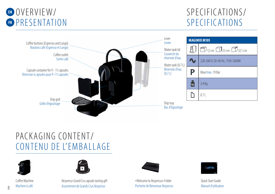

### SPECIFICATIONS/ SPECIFICATIONS



# PACKAGING CONTENT/ CONTENU DE L'EMBALLAGE



Coffee Machine



Machine à café **Assortiment de Grands Crus Nespresso** Pochette de Bienvenue Nespresso Manuel d'utilisation en la province de Sienvenue Alexande d'utilisation Nespresso Grand Cru capsule tasting gift **Accompany Accompany** \* Welcome to Nespresso» Folder **Manufornesso** Cuick Start Guide



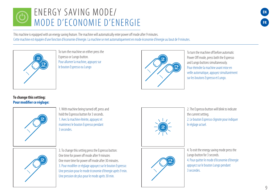# FNFRGY SAVING MODE/ MODE D'ECONOMIE D'ENERGIE

This machine is equipped with an energy saving feature. The machine will automatically enter power off mode after 9 minutes. Cette machine est équipée d'une fonction d'économie d'énergie. La machine se met automatiquement en mode économie d'énergie au bout de 9 minutes.



To turn the machine on either press the Espresso or Lungo button. Pour allumer la machine, appuyez sur le bouton Espresso ou Lungo



To turn the machine off before automatic Power Off mode, press both the Espresso and Lungo buttons simultaneously. Pour éteindre la machine avant mise en veille automatique, appuyez simultanément sur les boutons Espresso et Lungo.

### **To change this setting: Pour modifier ce réglage:**



1. With machine being turned off, press and hold the Espresso button for 3 seconds. 1. Avec la machine éteinte, appuyez et maintenez le bouton Espresso pendant 3 secondes.



2. The Espresso button will blink to indicate the current setting. 2. Le bouton Espresso clignote pour indiquer le réglage actuel.



3. To change this setting press the Espresso button: One time for power off mode after 9 minutes One more time for power off mode after 30 minutes. 3. Pour modifier ce réglage appuyez sur le bouton Espresso: Une pression pour le mode économie d'énergie après 9 min. Une pression de plus pour le mode après 30 min.



4. To exit the energy saving mode press the Lungo button for 3 seconds. 4. Pour quitter le mode d'économie d'énergie appuyez sur le bouton Lungo pendant 3 secondes.

9

**EN**

**FR**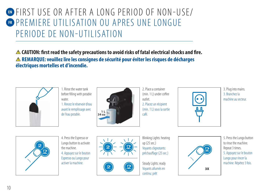### **EN FIRST USE OR AFTER A LONG PERIOD OF NON-USE/ FR** PREMIERE UTILISATION OU APRES UNE LONGUE PERIODE DE NON-UTILISATION

 **CAUTION: first read the safety precautions to avoid risks of fatal electrical shocks and fire. REMARQUE: veuillez lire les consignes de sécurité pour éviter les risques de décharges électriques mortelles et d'incendie.**



1. Rincez le réservoir d'eau 1. Rinse the water tank before filling with potable water

avant le remplissage avec de l'eau potable.



2. Place a container (min. 1 L) under coffee outlet. 2. Placez un récipient (min. 11) sous la sortie café.



3. Plug into mains. 3. Branchez la machine au secteur.



4. Press the Espresso or Lungo button to activate the machine. 4. Appuyez sur le bouton Espresso ou Lungo pour activer la machine.





Blinking Lights: heating up (25 sec.) Voyants clignotants: préchauffage (25 sec.)

Steady Lights: ready Voyants allumés en continu: prêt



5. Press the Lungo button to rinse the machine. Repeat 3 times. 5. Appuyez sur le bouton Lungo pour rincer la machine. Répétez 3 fois.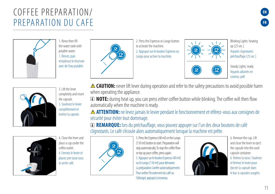# COFFEE PREPARATION/ PREPARATION DU CAFE





1. Rincez, puis remplissez le réservoir avec de l'eau potable. 1. Rinse then fill the water tank with potable water.



2. Press the Espresso or Lungo button to activate the machine. 2. Appuyez sur le bouton Espresso ou Lungo pour activer la machine.



Blinking Lights: heating up (25 sec.) Voyants clignotants: préchauffage (25 sec.)



Steady Lights: ready Voyants allumés en continu: prêt



3. Lift the lever completely and insert the capsule. 3. Soulevez le levier complètement et insérez la capsule.

4. Close the lever and place a cup under the coffee outlet. 4. Fermez le levier et placez une tasse sous la sortie café.



 **NOTE:** during heat up, you can press either coffee button while blinking. The coffee will then flow automatically when the machine is ready.

**ATTENTION:** ne levez jamais le levier pendant le fonctionnement et référez-vous aux consignes de sécurité pour éviter tout dommage.

 **REMARQUE:** lors du préchauffage, vous pouvez appuyer sur l'un des deux boutons de café clignotants. Le café s'écoule alors automatiquement lorsque la machine est prête.



5. Press the Espresso (40 ml) or the Lungo (110 ml) button to start. Preparation will stop automatically. To stop the coffee flow or top up your coffee, press again. 5. Appuyez sur le bouton Espresso (40 ml) ou le Lungo (110 ml) pour démarrer. La préparation s'arrête automatiquement. Pour arrêter l'écoulement du café ou l'allonger, appuyez à nouveau.



6. Remove the cup. Lift and close the lever to eject the capsule into the used capsule container. 6. Retirez la tasse. Soulevez et fermez le levier pour éjecter la capsule dans le bac à capsules usagées.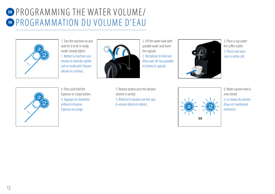# **EN** PROGRAMMING THE WATER VOLUME/ **ER PROGRAMMATION DU VOLUME D'EAU**



1. Turn the machine on and wait for it to be in ready mode (steady lights). 1. Mettez la machine sous tension et attendez qu'elle soit en mode prêt (Voyant allumé en continu).



2. Remplissez le réservoir d'eau avec de l'eau potable et insérez la capsule. 2. Fill the water tank with potable water and insert the capsule.



3. Place a cup under the coffee outlet. 3. Placez une tasse sous la sortie café.



4. Press and hold the Espresso or Lungo button. 4. Appuyez et maintenez enfoncé le bouton Espresso ou Lungo.

5. Release button once the desired volume is served. 5. Relâchez le bouton une fois que le volume désiré est atteint.



6 Water volume level is now stored. 6. Le niveau du volume d'eau est maintenant mémorisé.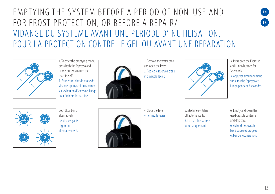# EMPTYING THE SYSTEM BEEORE A PERIOD OF NON-USE AND FOR FROST PROTECTION, OR BEFORE A REPAIR/ VIDANGE DU SYSTEME AVANT UNE PERIODE D'INUTILISATION, POUR LA PROTECTION CONTRE LE GEL OU AVANT UNE REPARATION



1. To enter the emptying mode, press both the Espresso and Lungo buttons to turn the machine off.

1. Pour entrer dans le mode de vidange, appuyez simultanément sur les boutons Espresso et Lungo pour éteindre la machine.



2. Remove the water tank and open the lever. 2. Retirez le réservoir d'eau et ouvrez le levier.



3. Press both the Espresso and Lungo buttons for 3 seconds.

**EN**

**FR**

3. Appuyez simultanément sur la touche Espresso et Lungo pendant 3 secondes.



Both I FDs blink alternatively. Les deux voyants clignotent alternativement.



4. Close the lever. 4. Fermez le levier. 5. Machine switches off automatically. 5. La machine s'arrête automatiquement.

6. Empty and clean the used capsule container and drip tray. 6. Videz et nettoyez le bac à capsules usagées et bac de récupération.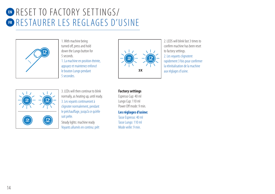# **EN** RESET TO FACTORY SETTINGS/ **FR** RESTAURER LES REGLAGES D'USINE



1. With machine being turned off, press and hold down the Lungo button for 5 seconds. 1. La machine en position éteinte, appuyez et maintenez enfoncé le bouton Lungo pendant 5 secondes.



2 LEDS will blink fast 3 times to confirm machine has been reset to factory settings. 2. Les voyants clignotent rapidement 3 fois pour confirmer la réinitialisation de la machine aux réglages d'usine.



3. LEDs will then continue to blink normally, as heating up, until ready. 3. Les voyants continueront à clignoter normalement, pendant le préchauffage, jusqu'à ce qu'elle soit prête.

Steady lights: machine ready Voyants allumés en continu: prêt

### **Factory settings**

Espresso Cup: 40 ml Lungo Cup: 110 ml Power Off mode: 9 min.

### **Les réglages d'usine:**

Tasse Espresso: 40 ml Tasse Lungo: 110 ml Mode veille: 9 min.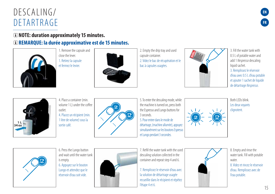# $DFS(A) ING/$ DETARTRAGE

### **NOTE: duration approximately 15 minutes.**

### **REMARQUE: la durée approximative est de 15 minutes.**



1. Remove the capsule and close the lever. 1. Retirez la capsule et fermez le levier.



2. Empty the drip tray and used capsule container. 2. Videz le bac de récupération et le bac à capsules usagées.



3. Fill the water tank with 0.5 L of potable water and add 1 Nespresso descaling liquid sachet. 3. Remplissez le réservoir d'eau avec 0.5 L d'eau potable et ajouter 1 sachet de liquide de détartrage Nespresso.

**EN**

**FR**



4. Place a container (min. volume 11) under the coffee outlet. 4. Placez un récipient (min.

1 litre de volume) sous la sortie café.



5. To enter the descaling mode, while the machine is turned on, press both the Espresso and Lungo buttons for 3 seconds.

5. Pour entrer dans le mode de détartrage, (machine allumée), appuyez simultanément sur les boutons Espresso et Lungo pendant 3 secondes.



Both I FDs blink Les deux voyants clignotent.



6. Press the Lungo button and wait until the water tank is empty.

6. Appuyez sur le bouton Lungo et attendez que le réservoir d'eau soit vide.



7. Refill the water tank with the used descaling solution collected in the container and repeat step 4 and 6.

7. Remplissez le réservoir d'eau avec la solution de détartrage usagée recueillie dans le récipient et répétez l'étape 4 et 6.



8. Empty and rinse the water tank. Fill with potable water 8. Videz et rincez le réservoir

d'eau. Remplissez avec de l'eau potable.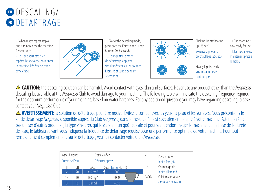

9. When ready, repeat step 4 and 6 to now rinse the machine. Repeat twice. 9. Lorsque vous êtes prêt, répétez l'étape 4 et 6 pour rincer la machine. Répétez deux fois cette étape.



10. To exit the descaling mode, press both the Epresso and Lungo buttons for 3 seconds. 10. Pour quitter le mode de détartrage, appuyez simultanément sur les boutons. Espresso et Lungo pendant 3 secondes



Blinking Lights: heating up (25 sec.) Voyants clignotants: préchauffage (25 sec.) Steady Lights: ready Vovants allumés en

continu: prêt

11 The machine is now ready for use. 11. La machine est maintenant prête à l'emploi.

**A CAUTION:** the descaling solution can be harmful. Avoid contact with eyes, skin and surfaces. Never use any product other than the Nespresso descaling kit available at the Nespresso Club to avoid damage to your machine. The following table will indicate the descaling frequency required for the optimum performance of your machine, based on water hardness. For any additional questions you may have regarding descaling, please contact your Nespresso Club.

 **AVERTISSEMENT:** la solution de détartrage peut être nocive. Évitez le contact avec les yeux, la peau et les surfaces. Nous préconisons le kit de détartrage Nespresso disponible auprès du Club Nespresso, dans la mesure où il est spécialement adapté à votre machine. Attention à ne pas utiliser d'autres produits (du type vinaigre), qui laisseraient un goût au café et pourraient endommager la machine. Sur la base de la dureté de l'eau, le tableau suivant vous indiquera la fréquence de détartrage requise pour une performance optimale de votre machine. Pour tout renseignement complémentaire sur le détartrage, veuillez contacter votre Club Nespresso.

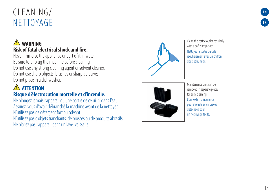# CLEANING/ **NETTOYAGE**

### **WARNING Risk of fatal elec trical shock and fire.**

Never immerse the appliance or part of it in water. Be sure to unplug the machine before cleaning. Do not use any strong cleaning agent or solvent cleaner. Do not use sharp objects, brushes or sharp abrasives. Do not place in a dishwasher.

### **A** ATTENTION **Risque d'électrocution mortelle et d'incendie.**

Ne plongez jamais l'appareil ou une partie de celui-ci dans l'eau. Assurez-vous d'avoir débranché la machine avant de la nettoyer. N'utilisez pas de détergent fort ou solvant. N'utilisez pas d'objets tranchants, de brosses ou de produits abrasifs. Ne placez pas l'appareil dans un lave-vaisselle.



Clean the coffee outlet regularly with a soft damp cloth. Nettoyez la sortie du café régulièrement avec un chiffon doux et humide.



Maintenance unit can be removed in separate pieces for easy cleaning. L'unité de maintenance peut être retirée en pièces détachées pour un nettoyage facile.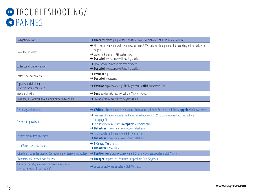# **EN** TROUBLESHOOTING/ **FR** PANNES

| No light indicator.                                        | A Check the mains, plug, voltage, and fuse. In case of problems, call the Nespresso Club.                                                                                                                                                                             |
|------------------------------------------------------------|-----------------------------------------------------------------------------------------------------------------------------------------------------------------------------------------------------------------------------------------------------------------------|
| No coffee, no water.                                       | $\rightarrow$ First use: fill water tank with warm water (max. 55 $^{\circ}$ C) and run through machine according to instructions on<br>page 10.<br>$\rightarrow$ Water tank is empty. Fill water tank.<br>$\rightarrow$ Descale if necessary; see Descaling section. |
| Coffee comes out very slowly.                              | $\rightarrow$ Flow speed depends on the coffee variety.<br>$\rightarrow$ Descale if necessary; see Descaling section.                                                                                                                                                 |
| Coffee is not hot enough.                                  | $\rightarrow$ Preheat cup.<br>$\rightarrow$ Descale if necessary.                                                                                                                                                                                                     |
| Capsule area is leaking<br>(water in capsule container).   | $\rightarrow$ Position capsule correctly. If leakages occur, call the <i>Nespresso</i> Club.                                                                                                                                                                          |
| Irregular blinking.                                        | Send appliance to repair or call the Nespresso Club.                                                                                                                                                                                                                  |
| No coffee, just water runs out (despite inserted capsule). | In case of problems, call the Nespresso Club.                                                                                                                                                                                                                         |

| Pas de voyant lumineux.                                                                       | → Vérifier l'alimentation secteur, la prise, la tension et le fusible. En cas de problèmes, appeler le Club Nespresso.                                                                                                                      |  |
|-----------------------------------------------------------------------------------------------|---------------------------------------------------------------------------------------------------------------------------------------------------------------------------------------------------------------------------------------------|--|
| Pas de café, pas d'eau.                                                                       | → Première utilisation: rincer la machine à l'eau chaude (max. 55° C) conformément aux instructions<br>de la page 10.<br>→ Le réservoir d'eau est vide. Remplir le réservoir d'eau.<br>> Détartrer si nécessaire ; voir section Détartrage. |  |
| Le café s'écoule très lentement.                                                              | A La vitesse d'écoulement dépend du type de café.<br>> Détartrer si nécessaire ; voir section Détartrage.                                                                                                                                   |  |
| Le café n'est pas assez chaud.                                                                | $\rightarrow$ Préchauffer la tasse.<br>$\rightarrow$ Détartrer si nécessaire.                                                                                                                                                               |  |
| Fuite dans la zone des capsules (de l'eau dans le réservoir à capsules).                      | → Positionner la capsule correctement. Si la fuite persiste, appeler le Club Nespresso.                                                                                                                                                     |  |
| Clignotement à intervalles irréguliers.                                                       | Surveyor l'appareil en réparation ou appeler le Club Nespresso.                                                                                                                                                                             |  |
| Il n'y a pas de café, seulement de l'eau qui s'égoutte<br>(bien qu'une capsule soit insérée). | Sen cas de problème, appelez le Club Nespresso.                                                                                                                                                                                             |  |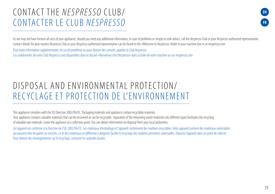### CONTACT THE NESPRESSO CLUB/ CONTACTER LE CLUB NESPRESSO



As we may not have forseen all uses of your appliance, should you need any additional information, in case of problems or simply to seek advice, call the Nespresso Club or your Nespresso authorized representative. Contact details for your nearest Nespresso Club or your Nespresso authorized representative can be found in the «Welcome to Nespresso» folder in your machine box or at nespresso.com

Pour toute information supplémentaire, en cas de problème ou pour obtenir des conseils, appelez le Club Nespresso. Les coordonnées de votre Club Nespresso sont disponibles dans le dossier «Bienvenue chez Nespresso» dans la boîte de votre machine ou sur nespresso.com

# DISPOSAL AND FNVIRONMENTAL PROTECTION/ RECYCLAGE ET PROTECTION DE L'ENVIRONNEMENT

This appliance complies with the EU Directive 2002/96/EC. Packaging materials and appliance contain recyclable materials.

Your appliance contains valuable materials that can be recovered or can be recyclable. Separation of the remaining waste materials into different types facilitates the recycling of valuable raw materials. Leave the appliance at a collection point. You can obtain information on disposal from your local authorities.

Cet appareil est conforme à la Directive de l'UE 2002/96/CE. Les matériaux d'emballage et l'appareil contiennent des matières recyclables. Votre appareil contient des matériaux valorisables qui peuvent être récupérés ou recyclés. Le tri des matériaux en différentes catégories facilite le recyclage des matières premières valorisables. Déposer l'appareil dans un point de collecte. Pour obtenir des renseignements sur le recyclage, contacter les autorités locales.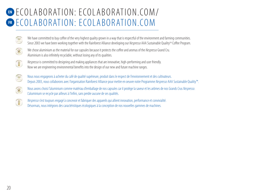# **EN** ECOLABORATION: ECOLABORATION.COM/ **FR** ECOLABORATION: ECOLABORATION.COM



We have committed to buy coffee of the very highest quality grown in a way that is respectful of the environment and farming communities. Since 2003 we have been working together with the Rainforest Alliance developing our Nespresso AAA Sustainable Quality<sup>M</sup> Coffee Program.



We chose aluminium as the material for our capsules because it protects the coffee and aromas of the Nespresso Grand Cru. Aluminium is also infinitely recyclable, without losing any of its qualities.



Nespresso is committed to designing and making appliances that are innovative, high-performing and user friendly. Now we are engineering environmental benefits into the design of our new and future machine ranges.



Nous nous engageons à acheter du café de qualité supérieure, produit dans le respect de l'environnement et des cultivateurs. Depuis 2003, nous collaborons avec l'organisation Rainforest Alliance pour mettre en oeuvre notre Programme Nespresso AAA Sustainable Quality™.



Nous avons choisi l'aluminium comme matériau d'emballage de nos capsules car il protège la saveur et les arômes de nos Grands Crus Nespresso. L'aluminium se recycle par ailleurs à l'infini, sans perdre aucune de ses qualités.

Nespresso s'est toujours engagé à concevoir et fabriquer des appareils qui allient innovation, performance et convivialité.  $\left( \mathbf{r}\right)$ Désormais, nous intégrons des caractéristiques écologiques à la conception de nos nouvelles gammes de machines.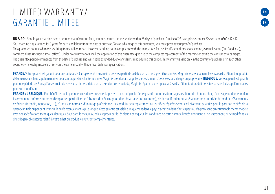# I IMITED WARRANTY/ GARANTIE LIMITEE

**EN FR**

UK & ROI. Should your machine have a genuine manufacturing fault, you must return it to the retailer within 28 days of purchase. Outside of 28 days, please contact Nespresso on 0800 442 442. Your machine is quaranteed for 3 years for parts and labour from the date of purchase. To take advantage of this quarantee, you must present your proof of purchase. This guarantee excludes damage resulting from: a fall or impact, incorrect handling not in compliance with the instructions for use, insufficient aftercare or cleaning, external events (fire, flood, etc.), commercial use (including small offices). Under no circumstances shall the application of this guarantee give rise to the complete replacement of the machine or entitle the consumer to damages. The quarantee period commences from the date of purchase and will not be extended due to any claims made during this period. This warranty is valid only in the country of purchase or in such other countries where Magimix sells or services the same model with identical technical specifications.

FRANCE. Votre appareil est garanti pour une période de 3 ans pièces et 2 ans main d'oeuvre à partir de la date d'achat. Les 2 premières années, Magimix réparera ou remplacera, à sa discrétion, tout produit défectueux, sans frais supplémentaires pour son propriétaire. La 3ème année Magimix prend à sa charge les pièces, la main d'oeuvre est à la charge du propriétaire. **BELGIQUE.** Votre appareil est garanti pour une période de 2 ans pièces et main d'oeuvre à partir de la date d'achat. Pendant cette période, Magimix réparera ou remplacera, à sa discrétion, tout produit défectueux, sans frais supplémentaires pour son propriétaire.

FRANCE et BELGIQUE. Pour bénéficier de la garantie, vous devez présenter la preuve d'achat originale. Cette garantie exclut les dommages résultant: de chute ou choc, d'un usage ou d'un entretien incorrect non conforme au mode d'emploi (en particulier: de l'absence de détartrage ou d'un détartrage non conforme), de la modification ou la réparation non autorisée du produit, d'événements extérieurs (incendie, inondation,...), d'une usure normale, d'un usage professionnel. Les produits de remplacement ou les pièces réparées seront exclusivement garanties pour la part non expirée de la garantie initiale ou pendant six mois, la durée retenue étant la plus longue. Cette garantie est valable uniquement dans le pays d'achat ou dans d'autres pays où Magimix vend ou entretient le même modèle avec des spécifications techniques identiques. Sauf dans la mesure où cela est prévu par la législation en vigueur, les conditions de cette garantie limitée n'excluent, ni ne restreignent, ni ne modifient les droits légaux obligatoires relatifs à votre achat du produit, voire y sont complémentaires.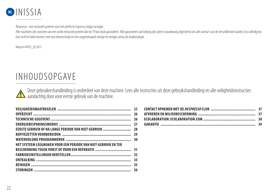

Nespresso - een exclusief systeem voor een perfecte Espresso, kopje na kopje.

Alle machines zijn voorzien van een uniek extractiesysteem dat tot 19 bar druk garandeert. Alle parameters van belang zijn uiterst nauwkeurig afgestemd om alle aroma's van de verschillende Grands Crus volledig tot hun recht te laten komen, met een intense body en een ongeëvenaard stevige en romige crema als eindresultaat.

Magimix M105\_05.2013

# INHOUDSOPGAVE

Deze gebruikershandleiding is onderdeel van deze machine. Lees alle instructies uit deze gebruikshandleiding en alle veiligheidsinstructies **/!** aandachtig door voor eerste gebruik van de machine.

|                                                                | 26 |
|----------------------------------------------------------------|----|
|                                                                |    |
|                                                                |    |
|                                                                |    |
|                                                                |    |
| HET SYSTEEM LEEGMAKEN VOOR EEN PERIODE VAN NIET-GEBRUIK EN TER |    |
|                                                                |    |
|                                                                |    |
|                                                                |    |
|                                                                |    |
|                                                                |    |
|                                                                |    |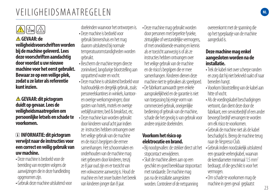# VEILIGHEIDSMAATREGELEN

### $||\mathbf{x}\Vert / \mathbb{Z}$

### **GEVAAR: de veiligheidsvoorschriften worden bij de machine geleverd. Lees deze voorschriften aandachtig door voordat u uw nieuwe machine voor het eerst gebruikt. Bewaar ze op een veilige plek, zodat u ze later als referentie kunt inzien.**

### **GEVAAR: dit pictogram duidt op gevaar. Lees de veiligheidsmaatregelen om persoonlijke letsels en schade te voorkomen.**

### **INFORMATIE: dit pictogram verwijst naar de instructies voor een correct en veilig gebruik van uw machine.**

- Deze machine is bedoeld voor de bereiding van recepten volgens de aanwijzingen die in deze handleiding opgenomen zijn.
- Gehruik deze machine uitsluitend voor

doeleinden waarvoor het ontworpen is.

- $\bullet$  Deze machine is bedoeld voor gebruik binnenshuis en het mag daarom uitsluitend bij normale temperatuuromstandigheden worden gebruikt.
- Bescherm de machine tegen directe zoninvloed, langdurige blootstelling aan opspattend water en vocht.
- Deze machine is uitsluitend bedoeld voor huishoudelijk en dergelijk gebruik, zoals: personeelskantines in winkels, kantooren overige werkomgevingen; door gasten van hotels, motels en overige verblijfsruimten; bed & breakfast, etc. • Deze machine kan worden gebruikt door kinderen vanaf acht jaar indien ze instructies hebben ontvangen over het veilige gebruik van de machine en de risico's begrijpen die ermee samenhangen. Het schoonmaken en onderhouden van de machine mag niet gebeuren door kinderen, tenzij ze 8 jaar oud zijn en er toezicht van een volwassene aanwezig is. Houd de machine en het snoer buiten het bereik van kinderen jonger dan 8 jaar.
- Deze machine mag gebruikt worden door personen met beperkte fysieke, zintuiglijke of verstandelijke vermogens, of met onvoldoende ervaring en kennis als er toezicht aanwezig is of als ze instructies hebben ontvangen over het veilige gebruik van de machine en de risico's begrijpen die er mee samenhangen. Kinderen dienen deze machine niet te gebruiken als speelgoed. • De fabrikant aanvaardt geen enkele
- aansprakelijkheid en de garantie is niet van toepassing bij enige vorm van commercieel gebruik, oneigenlijke bediening of gebruik van de machine, schade die het gevolg is van gebruik voor andere onjuiste doeleinden.

### **Voorkom het risico op elektrocutie en brand.**

- Bij noodgevallen: de stekker direct uit het stopcontact verwijderen.
- Sluit de machine alleen aan op een geschikt en goed bereikbaar stopcontact met randaarde. De machine mag pas na de installatie aangesloten worden. Controleer of de netspanning

overeenkomt met de spanning die op het typeplaatje van de machine aangeduid is.

### **Deze machine mag enkel aangesloten worden na de installatie.**

- Trek de kabel niet over scherpe randen en zorg dat hij niet bekneld raakt of naar beneden hangt.
- Voorkom blootstelling van de kabel aan hitte of vocht.
- Als de voedingskabel beschadigingen vertoont, dan dient deze door de fabrikant, een servicebedrijf of een ander bevoegd bedrijf vervangen te worden om elk risico te voorkomen.
- Gebruik de machine niet als de kabel beschadigd is. Breng de machine terug naar de Nespresso Club.
- Gebruik indien noodzakelijk uitsluitend een geaarde verlengkabel, waarvan de kerndiameter minimaal 1.5 mm<sup>2</sup> bedraagt, of die geschikt is voor het vermogen.
- Om schade te voorkomen mag de machine in geen geval geplaatst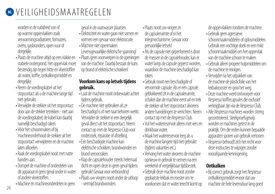# **W** VEILIGHEIDSMAATREGELEN

worden in de nabijheid van of op warme oppervlakken zoals verwarmingsradiatoren, fornuizen, ovens, gasbranders, open vuur of dergelijke.

- Plaats de machine altijd op een vlakke en stabiele ondergrond. Het oppervlak moet bestendig zijn tegen hitte en vloeistoffen als water, koffie, ontkalkingsmiddel en dergelijke.
- Neem de voedingskabel uit het stopcontact als u de machine lange tijd niet gebruikt.
- Verwijder de stekker uit het stopcontact door aan de stekker tetrekken - niet aan de voedingskabel; de kabel kan daarbij namelijk beschadigd raken.
- Vóór het schoonmaken of bij machineonderhoud de stekker uit het stopcontact verwijderen en de machine laten afkoelen.
- Raak de voedingskabel nooit met natte handen aan.
- Dompel de machine of onderdelen van dit apparaat in geen geval onder in water of andere vloeistoffen.
- Machine en machineonderdelen in geen

geval in de vaatwasser plaatsen.

- Elektriciteit en water gaan niet samen en vormen een gevaar voor elektrocutie.
- Machine niet openmaken. Levensgevaarlijke elektrische spanning!
- Plaats geen voorwerpen in de openingen van de machine. Daarbij bestaat de kans op brand of elektrische schokken!

### **Voorkom kans op letsels tijdens gebruik.**

- Laat de machine nooit onbewaakt achter tijdens gebruik.
- De machine niet gebruiken als ze beschadigd is of niet naar behoren werkt. Verwijder de stekker in een dergelijk geval direct uit het stopcontact. Neem contact op met de Nespresso Club voor onderzoek, reparatie of afstelling.
- Een beschadigde machine kan elektrische schokken, brandwonden en brand veroorzaken.
- Klap de capsulehouder steeds helemaal dicht en open deze in geen geval tijdens gebruik! Gevaar voor verbranding!
- Plaats uw vingers nooit onder de uitloop
- vermijd brandwonden.
- Plaats nooit uw vingers in
- de capsuleruimte of in het inlegmechanisme. Gevaar voor persoonlijke letsels!
- Als de capsule niet geperforeerd is door de messen in de capsulehouder, kan er water langs de capsule geperst worden, waardoor de machine beschadigd kan raken.
- Gebruik nooit een beschadigde of vervormde capsule. Als er een capsule geblokkeerd zit in de capsuleruimte, schakel dan de machine eerst uit en trek de stekker uit het stopcontact alvorens andere handelingen te verrichten. Neem contact op met de Nespresso Club.
- Vul het waterreservoir alleen met vers en drinkbaar water.
- Maak het waterreservoir leeg als u de machine langere tijd niet gebruikt (tijdens vakanties etc.).
- Vervang het water alvorens de machine opnieuw in gebruik te nemen na een weekend of vergelijkbaar tijdsbestek.
- Gebruik deze machine nooit zonder geplaatste lekbak en rooster om te voorkomen dat er water terecht komt op

de oppervlakken rondom de machine.

- Gebruik geen agressieve schoonmaakmiddelen of oplosmiddelen. Gebruik een vochtige doek en een mild schoonmaakmiddel om het oppervlak van de machine schoon te maken.
- Gebruik alleen propere hulpmiddelen om de machine te reinigen.
- Verwijder na het uitpakken van de machine de plasticfolie van het lekbakrooster en gooi het weg.
- Deze machine werd ontworpen voor Nespresso koffiecapsules die exclusief verkrijgbaar zijn via de Nespresso Club.
- Alle Nespresso machines worden streng gecontroleerd. Steekproefsgewijs worden er machines getest in de praktijk. Om die reden kunnen bepaalde apparaten sporen van gebruik vertonen.
- •Nespresso behoudt zich het recht voor deze instructies te wijzigen zonder voorafgaande kennisgeving.

### **Ontkalken**

· Bij correct gebruik zorgt het Nespresso ontkalkingsmiddel ervoor dat uw machine de hele levensduur lang goed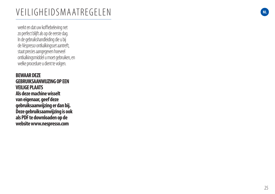# VEILIGHEIDSMAATREGELEN

werkt en dat uw koffiebeleving net zo perfect blijft als op de eerste dag. In de gebruikshandleiding die u bij de Nespresso ontkalkingsset aantreft, staat precies aangegeven hoeveel ontkalkingsmiddel u moet gebruiken, en welke procedure u dient te volgen.

**BEWAAR DEZE GEBRUIKSAANWIJZING OP EEN VEILIGE PLAATS Als deze machine wisselt van eigenaar, geef deze gebruiksaanwijzing er dan bij. Deze gebruiksaanwijzing is ook als PDF te downloaden op de website www.nespresso.com** 

**NL**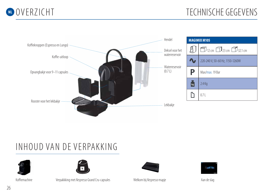



# INHOUD VAN DE VERPAKKING





Koffiemachine **School States 8FMLP 8FMLP 19 Consults** 8FM Public Respresso mapie and eslag Nespresso mapje



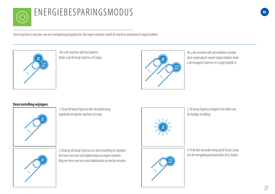

# ENERGIEBESPARINGSMODUS

Deze machine is voorzien van een energiebesparingsfunctie. Na negen minuten wordt de machine automatisch uitgeschakeld.



 Als u de machine wilt inschakelen, drukt u op de knop Espresso of Lungo.



Als u de machine wilt uitschakelen voordat deze automatisch wordt uitgeschakeld, drukt u de knoppen Espresso en Lungo tegelijk in.

### **Deze instelling wijzigen:**



1. Houd de knop Espresso drie seconden lang ingedrukt terwijl de machine uit staat.



2. De knop Espresso knippert ten teken van de huidige instelling.

3. Druk op de knop Espresso om deze instelling te wijzigen: Eén keer voor een uitschakelmodus na negen minuten. Nog een keer voor een uitschakelmodus na dertig minuten. 4. Druk drie seconden lang op de knop Lungo om de energiebesparingsmodus af te sluiten.

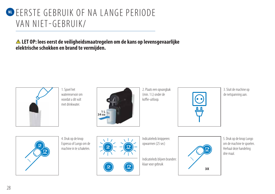# **W EERSTE GEBRUIK OF NA LANGE PERIODE** VAN NIET-GEBRUIK/

 **LET OP: lees eerst de veiligheidsmaatregelen om de kans op levensgevaarlijke elektrische schokken en brand te vermijden.**



1. Spoel het waterreservoir om voordat u dit vult met drinkwater.



2. Plaats een opvangbak (min. 1 L) onder de koffie-uitloop.



3. Sluit de machine op de netspanning aan.



4. Druk op de knop Espresso of Lungo om de machine in te schakelen.





Indicatieleds knipperen: opwarmen (25 sec)

Indicatieleds blijven branden: klaar voor gebruik



5. Druk op de knop Lungo om de machine te spoelen. Herhaal deze handeling drie maal.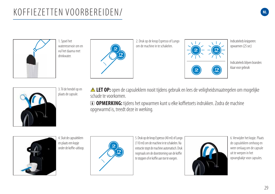# KOFFIEZETTEN VOORBEREIDEN/



1. Spoel het waterreservoir om en vul het daarna met drinkwater.



2. Druk op de knop Espresso of Lungo om de machine in te schakelen.



Indicatieleds knipperen: opwarmen (25 sec)

**NL**

Indicatieleds blijven branden: klaar voor gebruik



3. Til de hendel op en plaats de capsule.

 **LET OP:** open de capsuleklem nooit tijdens gebruik en lees de veiligheidsmaatregelen om mogelijke schade te voorkomen.

*I* OPMERKING: tijdens het opwarmen kunt u elke koffietoets indrukken. Zodra de machine opgewarmd is, treedt deze in werking.



4. Sluit de capsuleklem en plaats een kopje onder de koffie-uitloop.



5. Druk op de knop Espresso (40 ml) of Lungo (110 ml) om de machine in te schakelen. Na extractie stopt de machine automatisch. Druk nogmaals om de doorstroming van de koffie te stoppen of er koffie aan toe te voegen.



6. Verwijder het kopje. Plaats de capsuleklem omhoog en weer omlaag om de capsule uit te werpen in het opvangbakje voor capsules.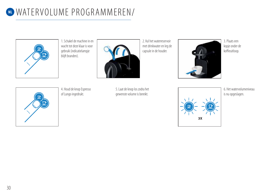# **NL WATERVOLUME PROGRAMMEREN/**



1. Schakel de machine in en wacht tot deze klaar is voor gebruik (indicatielampje blijft branden).



2. Vul het waterreservoir met drinkwater en leg de capsule in de houder.



3. Plaats een kopje onder de koffieuitloop.



4. Houd de knop Espresso of Lungo ingedrukt.

5. Laat de knop los zodra het gewenste volume is bereikt.



6. Het watervolumeniveau is nu opgeslagen.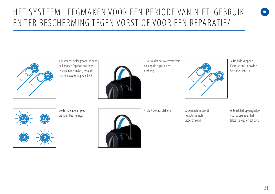# HET SYSTEEM LEEGMAKEN VOOR EEN PERIODE VAN NIET-GEBRUIK EN TER BESCHERMING TEGEN VORST OF VOOR EEN REPARATIE/



1. U schakelt de leegmodus in door de knoppen Espresso en Lungo tegelijk in te drukken, zodat de machine wordt uitgeschakeld.



2. Verwijder het waterreservoir en klap de capsuleklem omhoog.



3. Druk de knoppen Espresso en Lungo drie seconden lang in.

**NL**



Beide indicatielampjes branden beurtelings.



4. Sluit de capsuleklem. 5. De machine wordt

nu automatisch uitgeschakeld.

6. Maak het opvangbakje voor capsules en het lekbakje leeg en schoon.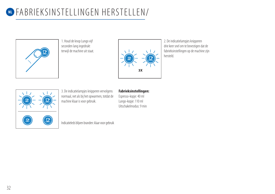

1. Houd de knop Lungo vijf seconden lang ingedrukt terwijl de machine uit staat.



2. De indicatielampjes knipperen drie keer snel om te bevestigen dat de fabrieksinstellingen op de machine zijn hersteld.



3. De indicatielampjes knipperen vervolgens normaal, net als bij het opwarmen, totdat de machine klaar is voor gebruik.

### **Fabrieksinstellingen:**

Espresso-kopje: 40 ml Lungo-kopje: 110 ml Uitschakelmodus: 9 min

Indicatieleds blijven branden: klaar voor gebruik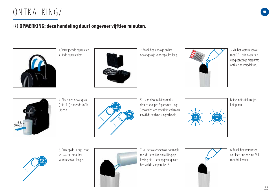# ONTKALKING/

### **OPMERKING: deze handeling duurt ongeveer vijftien minuten.**



1. Verwijder de capsule en sluit de capsuleklem.



2. Maak het lekbakje en het opvangbakje voor capsules leeg.



3. Vul het waterreservoir met 0.5 L drinkwater en voeg een zakje Nespresso ontkalkingsmiddel toe.

**NL**



4. Plaats een opvangbak (min. 1 L) onder de koffieuitloop.



5. U start de ontkalkingsmodus door de knoppen Espresso en Lungo 3 seconden lang tegelijk in te drukken terwijl de machine is ingeschakeld.



Beide indicatielampjes knipperen.



6. Druk op de Lungo-knop en wacht totdat het waterreservoir leeg is.



7. Vul het waterreservoir nogmaals met de gebruikte ontkalkingsoplossing die u hebt opgevangen en herhaal de stappen 4 en 6.



8. Maak het waterreservoir leeg en spoel na. Vul met drinkwater.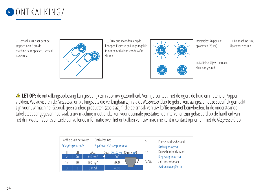

9. Herhaal als u klaar bent de stappen 4 en 6 om de machine na te spoelen. Herhaal twee maal.



10. Druk drie seconden lang de knoppen Espresso en Lungo tegelijk in om de ontkalkingsmodus af te sluiten.



Indicatieleds knipperen: opwarmen (25 sec)

11 De machine is nu klaar voor gebruik.

Indicatieleds blijven branden: klaar voor gebruik

**ALET OP:** de ontkalkingsoplossing kan gevaarlijk zijn voor uw gezondheid. Vermijd contact met de ogen, de huid en materialen/oppervlakken. We adviseren de Nespresso ontkalkingssets die verkrijgbaar zijn via de Nespresso Club te gebruiken, aangezien deze specifiek gemaakt zijn voor uw machine. Gebruik geen andere producten (zoals azijn) die de smaak van uw koffie negatief beïnvloeden. In de onderstaande tabel staat aangegeven hoe vaak u uw machine moet ontkalken voor optimale prestaties, de intervallen zijn gebaseerd op de hardheid van het drinkwater. Voor eventuele aanvullende informatie over het ontkalken van uw machine kunt u contact opnemen met de Nespresso Club.

|                   | Hardheid van het water:<br>Ontkalken na: |                     | fH                           | Franse hardheidsgraad |                       |
|-------------------|------------------------------------------|---------------------|------------------------------|-----------------------|-----------------------|
| Σκληρότητα νερού: |                                          |                     | Αφαίρεση αλάτων μετά από:    |                       | Γαλλική ποιότητα      |
| fH                | dН                                       | CaCO <sub>3</sub>   | Cups Φλιτζάνια (40 ml / χιλ) | dH                    | Duitse hardheidsgraad |
| 36                | $\overline{20}$                          | 360 mg/l            | 1000                         |                       | Γερμανική ποιότητα    |
| 18                | 10                                       | 180 mg/l            | 2000                         | CaCO <sub>3</sub>     | calciumcarbonaat      |
| $\theta$          | 0                                        | $0 \,\mathrm{mq/l}$ | 4000                         |                       | Ανθρακικό ασβέστιο    |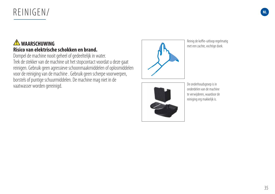# REINIGEN/

### **WAARSCHUWING Risico van elektrische schokken en brand.**

Dompel de machine nooit geheel of gedeeltelijk in water. Trek de stekker van de machine uit het stopcontact voordat u deze gaat reinigen. Gebruik geen agressieve schoonmaakmiddelen of oplosmiddelen voor de reiniging van de machine . Gebruik geen scherpe voorwerpen, borstels of puntige schuurmiddelen. De machine mag niet in de vaatwasser worden gereinigd.



Reinig de koffie-uitloop regelmatig met een zachte, vochtige doek.



De onderhoudsgroep is in onderdelen van de machine te verwijderen, waardoor de reiniging erg makkelijk is.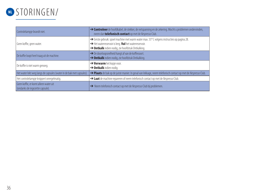

| Controlelampje brandt niet.                                              | → Controleer de hoofdkabel, de stekker, de netspanning en de zekering. Mocht u problemen ondervinden,<br>neem dan telefonisch contact op met de Nespresso Club.                                         |
|--------------------------------------------------------------------------|---------------------------------------------------------------------------------------------------------------------------------------------------------------------------------------------------------|
| Geen koffie, geen water.                                                 | → Eerste gebruik: spoel machine met warm water max. 55° C volgens instructies op pagina 28.<br>Het waterreservoir is leeg. Vul het waterreservoir.<br>> Ontkalk indien nodig, zie hoofdstuk Ontkalking. |
| De koffie loopt heel traag uit de machine.                               | $\rightarrow$ De doorloopsnelheid hangt af van de koffiesoort.<br>> Ontkalk indien nodig, zie hoofdstuk Ontkalking.                                                                                     |
| De koffie is niet warm genoeg.                                           | $\rightarrow$ Verwarm het kopje voor.<br>$\rightarrow$ Ontkalk indien nodig.                                                                                                                            |
| Het water lekt weg langs de capsules (water in de bak met capsules).     | > Plaats de bak op de juiste manier. In geval van lekkage, neem telefonisch contact op met de Nespresso Club.                                                                                           |
| Het controlelampje knippert onregelmatig.                                | A Laat de machine repareren of neem telefonisch contact op met de Nespresso Club.                                                                                                                       |
| Geen koffie, er komt alleen water uit<br>(ondanks de ingezette capsule). | Neem telefonisch contact op met de Nespresso Club bij problemen.                                                                                                                                        |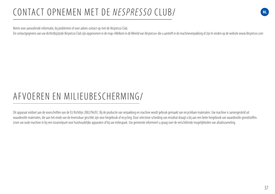# CONTACT OPNEMEN MET DE NESPRESSO CLUB/

Neem voor aanvullende informatie, bij problemen of voor advies contact op met de Nespresso Club.

De contactgegevens van uw dichtstbijzijnde Nespresso Club zijn opgenomen in de map «Welkom in de Wereld van Nespresso» die u aantreft in de machineverpakking of zijn te vinden op de website www.Nespresso.com

# AFVOEREN EN MILIEUBESCHERMING/

Dit apparaat voldoet aan de voorschriften van de EU Richtlijn 2002/96/EC. Bij de productie van verpakking en machine wordt gebruik gemaakt van recyclebare materialen. Uw machine is samengesteld uit waardevolle materialen, die aan het einde van de levensduur geschikt zijn voor hergebruik of recycling. Door selectieve scheiding van restafval draagt u bij aan een beter hergebruik van waardevolle grondstoffen. Lever uw oude machine in bij een inzamelpunt voor huishoudelijke apparaten of bij uw milieupark. Uw gemeente informeert u graag over de verschillende mogelijkheden van afvalinzameling.

**NL**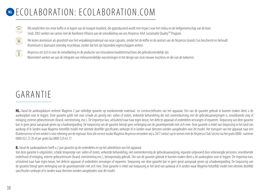# **NL ECOLABORATION: ECOLABORATION.COM**



Wij verplichten ons ertoe koffie in te kopen van de hoogste kwaliteit, die geproduceerd wordt met respect voor het milieu en de leefgemeenschap van de boer. Sinds 2003 werken we samen met de Rainforest Alliance aan de ontwikkeling van ons Nespresso AAA Sustainable Quality<sup>TM</sup> Program.



O

We kozen aluminium als grondstof voor het verpakkingsmateriaal van onze capsules, omdat het de koffie en de aroma's van de Nespresso Grands Crus beschermt en behoudt. Aluminium is daarnaast oneindig recyclebaar, zonder dat het zijn bijzondere eigenschappen verliest.

Nespresso zet zich in voor de ontwikkeling en de productie van innovatieve kwaliteitsmachines die gebruiksvriendelijk zijn. Momenteel werken we aan de integratie van milieuvriendelijke voorzieningen in het design van onze nieuwe machines en die van de toekomst.

# GARANTIE

NL. Vanaf de aankoopdatum verleent Magimix 2 jaar volledige garantie op voorkomende materiaal- en constructiefouten van het apparaat. Om van de garantie gebruik te kunnen maken dient u de aankoopbon voor te leggen. Deze garantie geldt niet voor schade als gevolg van: vallen of stoten, verkeerde behandeling die niet overeenkomstig met de gebruiksaanwijzingen is, onvoldoende zorg of reiniging, externe gebeurtenissen (brand, overstroming, enz.). De importeur kan, uitsluitend naar haar eigen keuze, het defecte apparaat of onderdelen vervangen of repareren. Toepassing van deze garantie kan in geen geval aanspraak geven op schadevergoeding. De toepassing van de garantie brengt geen verlenging van de garantieperiode met zich mee. Deze garantie is enkel van toepassing in het land van aankoop of in landen waar Magimix hetzelfde model met identiek dezelfde specificaties verkoopt of in landen waar diensten worden aangeboden voor dit model. Het transport van het apparaat naar een Klantenservice of een winkel is voor rekening van de eigenaar. Voor alle service inzake Magimix Nespresso verzoeken wij u 24/7 contact op te nemen met de Nespresso Club Service via het gratis 0800- nummer 0800 022 23 20 of per gratis fax 0800 329 63 77.

### **B.** Vanaf de aankoopdatum heeft u 2 jaar garantie op de onderdelen en op het arbeidsloon van het apparaat.

Van deze garantie is uitgesloten, schade tengevolge van: vallen of stoten, verkeerde behandeling, niet overeenkomstig de gebruiksaanwijzing, reparatie uitgevoerd door onbevoegde personen, onvoldoende onderhoud of reiniging, externe gebeurtenissen (brand, overstroming enz.), beroepsmatig gebruik. Om van de garantie gebruik te kunnen maken dient u de aankoopbon voor te leggen. De importeur kan, uitsluitend naar haar eigen keuze, het defecte apparaat of onderdelen vervangen of repareren. Toepassing van deze garantie kan in geen geval aanspraak geven op schadevergoeding. De toepassing van de garantie brengt geen verlenging van de garantieperiode met zich mee. Deze garantie is enkel van toepassing in het land van aankoop of in landen waar Magimix hetzelfde model met identiek dezelfde specificaties verkoopt of in landen waar diensten worden aangeboden voor dit model.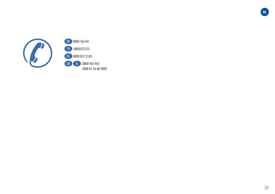

BE 0800 162 64 FR 0800555253 NL 0800 022 2320 UK IE 0800 442 442 1800 81 26 60 (ROI) **NL**